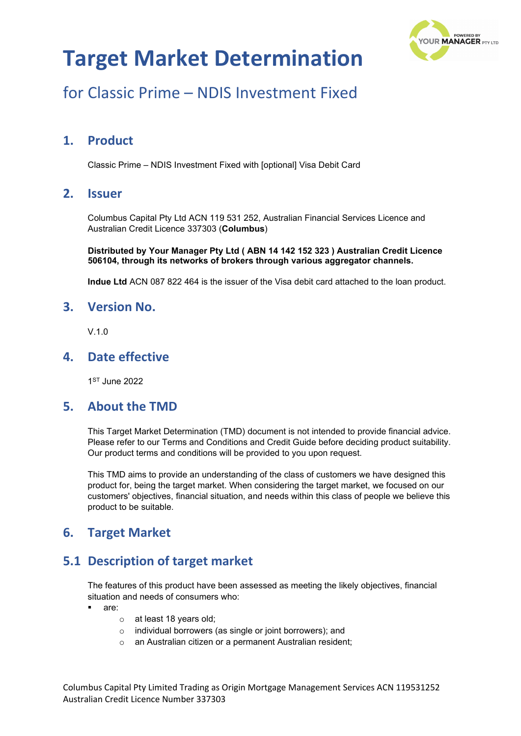

## for Classic Prime – NDIS Investment Fixed

## **1. Product**

Classic Prime – NDIS Investment Fixed with [optional] Visa Debit Card

### **2. Issuer**

Columbus Capital Pty Ltd ACN 119 531 252, Australian Financial Services Licence and Australian Credit Licence 337303 (**Columbus**)

**Distributed by Your Manager Pty Ltd ( ABN 14 142 152 323 ) Australian Credit Licence 506104, through its networks of brokers through various aggregator channels.**

**Indue Ltd** ACN 087 822 464 is the issuer of the Visa debit card attached to the loan product.

#### **3. Version No.**

 $V$ 10

### **4. Date effective**

1ST June 2022

#### **5. About the TMD**

This Target Market Determination (TMD) document is not intended to provide financial advice. Please refer to our Terms and Conditions and Credit Guide before deciding product suitability. Our product terms and conditions will be provided to you upon request.

This TMD aims to provide an understanding of the class of customers we have designed this product for, being the target market. When considering the target market, we focused on our customers' objectives, financial situation, and needs within this class of people we believe this product to be suitable.

### **6. Target Market**

## **5.1 Description of target market**

The features of this product have been assessed as meeting the likely objectives, financial situation and needs of consumers who:

- are:
	- o at least 18 years old;
	- o individual borrowers (as single or joint borrowers); and
	- o an Australian citizen or a permanent Australian resident;

Columbus Capital Pty Limited Trading as Origin Mortgage Management Services ACN 119531252 Australian Credit Licence Number 337303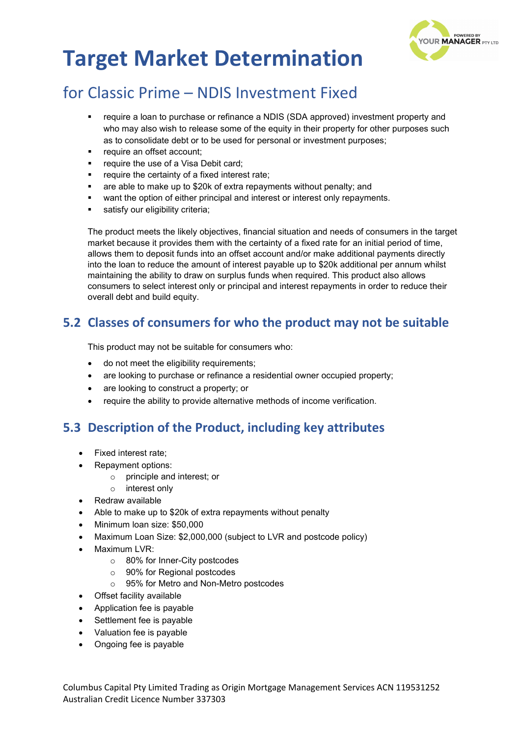

## for Classic Prime – NDIS Investment Fixed

- require a loan to purchase or refinance a NDIS (SDA approved) investment property and who may also wish to release some of the equity in their property for other purposes such as to consolidate debt or to be used for personal or investment purposes;
- require an offset account;
- require the use of a Visa Debit card;
- require the certainty of a fixed interest rate;
- are able to make up to \$20k of extra repayments without penalty; and
- want the option of either principal and interest or interest only repayments.
- satisfy our eligibility criteria:

The product meets the likely objectives, financial situation and needs of consumers in the target market because it provides them with the certainty of a fixed rate for an initial period of time, allows them to deposit funds into an offset account and/or make additional payments directly into the loan to reduce the amount of interest payable up to \$20k additional per annum whilst maintaining the ability to draw on surplus funds when required. This product also allows consumers to select interest only or principal and interest repayments in order to reduce their overall debt and build equity.

### **5.2 Classes of consumers for who the product may not be suitable**

This product may not be suitable for consumers who:

- do not meet the eligibility requirements;
- are looking to purchase or refinance a residential owner occupied property;
- are looking to construct a property; or
- require the ability to provide alternative methods of income verification.

### **5.3 Description of the Product, including key attributes**

- Fixed interest rate;
- Repayment options:
	- o principle and interest; or
	- o interest only
- Redraw available
- Able to make up to \$20k of extra repayments without penalty
- Minimum loan size: \$50,000
- Maximum Loan Size: \$2,000,000 (subject to LVR and postcode policy)
- Maximum LVR:
	- o 80% for Inner-City postcodes
	- o 90% for Regional postcodes
	- o 95% for Metro and Non-Metro postcodes
- Offset facility available
- Application fee is payable
- Settlement fee is payable
- Valuation fee is payable
- Ongoing fee is payable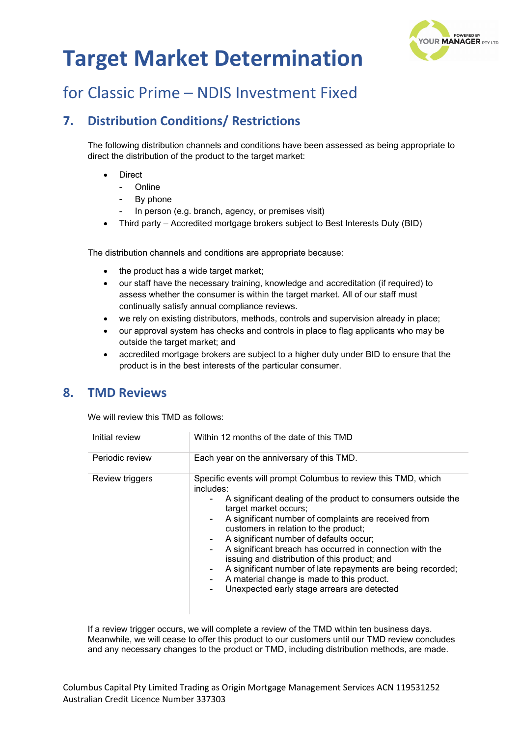

## for Classic Prime – NDIS Investment Fixed

## **7. Distribution Conditions/ Restrictions**

The following distribution channels and conditions have been assessed as being appropriate to direct the distribution of the product to the target market:

- **Direct** 
	- **Online**
	- By phone
	- In person (e.g. branch, agency, or premises visit)
- Third party Accredited mortgage brokers subject to Best Interests Duty (BID)

The distribution channels and conditions are appropriate because:

- the product has a wide target market;
- our staff have the necessary training, knowledge and accreditation (if required) to assess whether the consumer is within the target market. All of our staff must continually satisfy annual compliance reviews.
- we rely on existing distributors, methods, controls and supervision already in place;
- our approval system has checks and controls in place to flag applicants who may be outside the target market; and
- accredited mortgage brokers are subject to a higher duty under BID to ensure that the product is in the best interests of the particular consumer.

#### **8. TMD Reviews**

We will review this TMD as follows:

| Initial review  | Within 12 months of the date of this TMD                                                                                                                                                                                                                                                                                                                                                                                                                                                                                                                                                                             |
|-----------------|----------------------------------------------------------------------------------------------------------------------------------------------------------------------------------------------------------------------------------------------------------------------------------------------------------------------------------------------------------------------------------------------------------------------------------------------------------------------------------------------------------------------------------------------------------------------------------------------------------------------|
| Periodic review | Each year on the anniversary of this TMD.                                                                                                                                                                                                                                                                                                                                                                                                                                                                                                                                                                            |
| Review triggers | Specific events will prompt Columbus to review this TMD, which<br>includes:<br>A significant dealing of the product to consumers outside the<br>target market occurs;<br>A significant number of complaints are received from<br>$\sim$<br>customers in relation to the product;<br>A significant number of defaults occur;<br>۰<br>A significant breach has occurred in connection with the<br>issuing and distribution of this product; and<br>A significant number of late repayments are being recorded;<br>۰<br>A material change is made to this product.<br>Unexpected early stage arrears are detected<br>۰. |

If a review trigger occurs, we will complete a review of the TMD within ten business days. Meanwhile, we will cease to offer this product to our customers until our TMD review concludes and any necessary changes to the product or TMD, including distribution methods, are made.